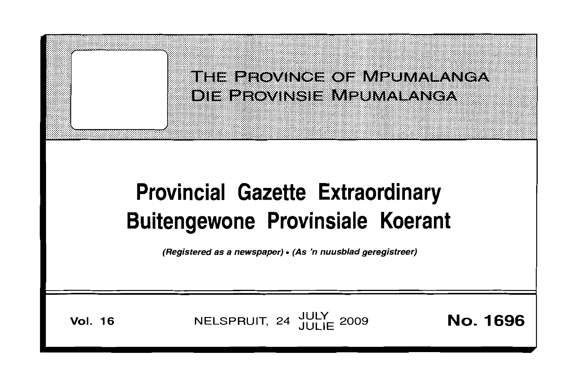

# **Provincial Gazette Extraordinary Buitengewone Provinsiale Koerant**

(Registered as a newspaper) • (As 'n nuusblad geregistreer)

**Vol. 16 NELSPRUIT, 24 JULY 2009 <b>No. 1696**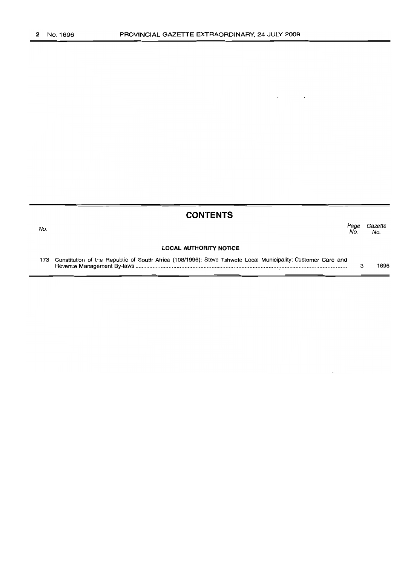No.

# **CONTENTS**

Page Gazette<br>No. No. No. No.

#### **LOCAL AUTHORITY NOTICE**

173 Constitution of the Republic of South Africa (108/1996): Steve Tshwete Local Municipality: Customer Care and Revenue Management By-laws : .. 3 1696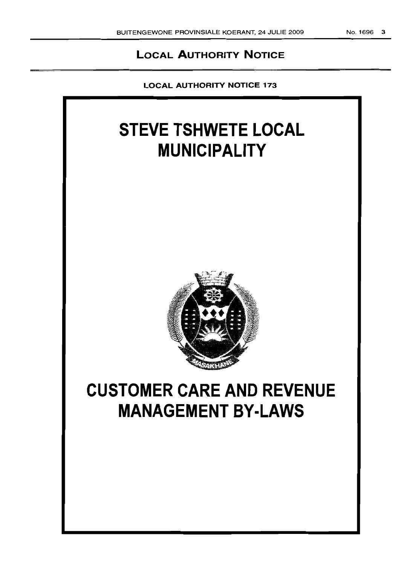# **LOCAL AUTHORITY NOTICE**

**LOCAL AUTHORITY NOTICE** 173

# **STEVE TSHWETE LOCAL MUNICIPALITY**



# **CUSTOMER CARE AND REVENUE MANAGEMENT BY-LAWS**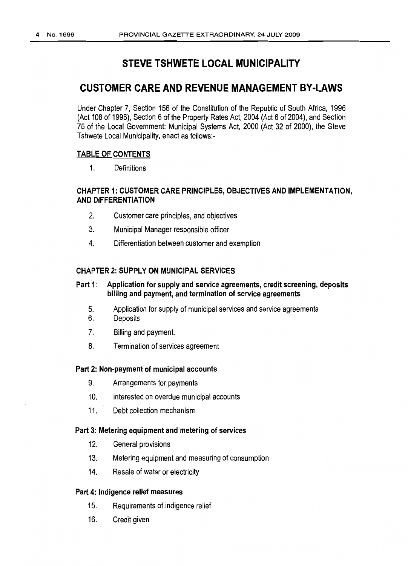# **STEVE TSHWETE LOCAL MUNICIPALITY**

## **CUSTOMER CARE AND REVENUE MANAGEMENT BY-LAWS**

Under Chapter 7, Section 156 of the Constitution of the Republic of South Africa, 1996 (Act 108 of 1996), Section 6 of the Property Rates Act, 2004 (Act 6 of 2004), and Section 75 of the Local Government: Municipal Systems Act, 2000 (Act 32 of 2000), the Steve Tshwete Local Municipality, enact as follows:-

#### **TABLE OF CONTENTS**

1. Definitions

#### **CHAPTER 1:CUSTOMER CARE PRINCIPLES, OBJECTIVES AND IMPLEMENTATION, AND DIFFERENTIATION**

- 2. Customer care principles, and objectives
- 3. Municipal Manager responsible officer
- 4. Differentiation between customer and exemption

#### **CHAPTER 2: SUPPLY ON MUNICIPAL SERVICES**

#### **Part 1: Application forsupply and service agreements, credit screening, deposits billing and payment, and termination ofservice agreements**

- 5. Application for supply of municipal services and service agreements
- 6. Deposits
- 7. Billing and payment.
- 8. Termination of services agreement

#### **Part 2: Non-payment of municipal accounts**

- 9. Arrangements for payments
- 10. Interested on overdue municipal accounts
- 11. Debt collection mechanism

#### **Part 3: Metering equipment and metering of services**

- 12. General provisions
- 13. Metering equipment and measuring of consumption
- 14. Resale of water or electricity

#### **Part 4: Indigence relief measures**

- 15. Requirements of indigence relief
- 16. Credit given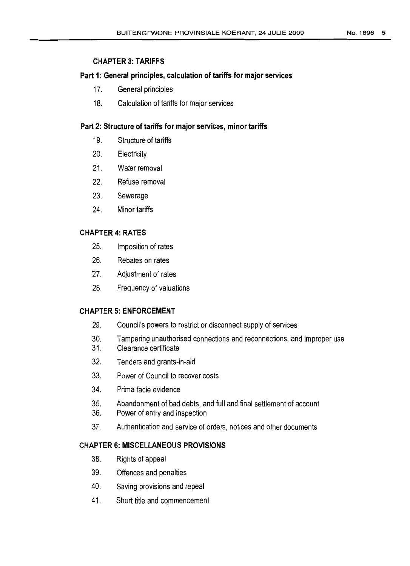## CHAPTER 3: TARIFFS

#### Part 1: General principles, calculation of tariffs for major services

- 17. General principles
- 18. Calculation of tariffs formajor services

### Part 2: Structure of tariffs for major services, minor tariffs

- 19. Structure of tariffs
- 20. Electricity
- 21. Water removal
- 22. Refuse removal
- 23. Sewerage
- 24. Minor tariffs

### CHAPTER 4: RATES

- 25. Imposition of rates
- 26. Rebates on rates
- 27. Adjustment of rates
- 28. Frequency of valuations

#### CHAPTER 5: ENFORCEMENT

- 29. Council's powers to restrict or disconnect supply of services
- 30. Tampering unauthorised connections and reconnections, and improper use
- 31. Clearance certificate
- 32. Tenders and grants-in-aid
- 33. Power of Council to recover costs
- 34. Prima facie evidence
- 35. Abandonment of bad debts, and full and final settlement of account
- 36. Power ofentry and inspection
- 37. Authentication and service of orders, notices and other documents

## CHAPTER 6: MISCELLANEOUS PROVISIONS

- 38. Rights ofappeal
- 39. Offences and penalties
- 40. Saving provisions and repeal
- 41. Short title and commencement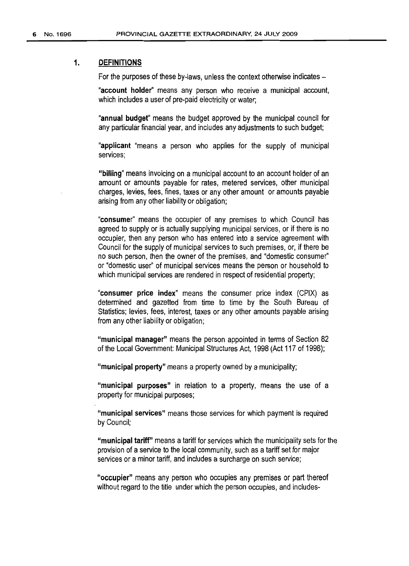#### 1. DEFINITIONS

For the purposes of these by-laws, unless the context otherwise indicates –

"account holder" means any person who receive a municipal account, which includes a user of pre-paid electricity or water;

"annual budget" means the budget approved by the municipal council for any particular financial year, and includes any adjustments to such budget;

"applicant "means a person who applies for the supply of municipal services;

"billing" means invoicing on a municipal account to an account holder of an amount or amounts payable for rates, metered services, other municipal charges, levies, fees, fines, taxes or any other amount or amounts payable arising from any other liability or obligation;

"consumer" means the occupier of any premises to which Council has agreed to supply or is actually supplying municipal services, or if there is no occupier, then any person who has entered into a service agreement with Council for the supply of municipal services to such premises, or, if there be no such person, then the owner of the premises, and "domestic consumer" or "domestic user" of municipal services means the person or household to which municipal services are rendered in respect of residential property;

"consumer price index" means the consumer price index (CPIX) as determined and gazetted from time to time by the South Bureau of Statistics; levies, fees, interest, taxes or any other amounts payable arising from any other liability or obligation;

"municipal manager" means the person appointed in terms of Section 82 of the Local Government: Municipal Structures Act, 1998 (Act 117 of 1998);

"municipal property" means a property owned by a municipality;

"municipal purposes" in relation to a property, means the use of a property for municipal purposes;

"municipal services" means those services for which payment is required by Council;

"municipal tariff" means a tariff for services which the municipality sets for the provision of a service to the local community, such as a tariff set for major services or a minor tariff, and includes a surcharge on such service;

"occupier" means any person who occupies any premises or part thereof without regard to the title under which the person occupies, and includes-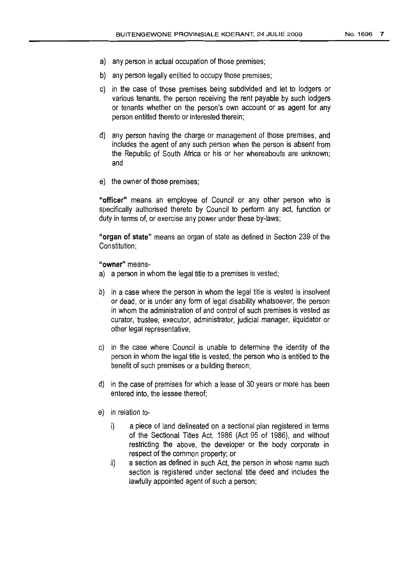- a) any person in actual occupation of those premises;
- b) any person legally entitled to occupy those premises;
- c) in the case of those premises being subdivided and let to lodgers or various tenants, the person receiving the rent payable by such lodgers or tenants whether on the person's own account or as agent for any person entitled thereto or interested therein;
- d) any person having the charge or management of those premises, and includes the agent of any such person when the person is absent from the Republic of South Africa or his or her whereabouts are unknown; and
- e) the owner of those premises;

"officer" means an employee of Council or any other person who is specifically authorised thereto by Council to perform any act, function or duty in terms of, or exercise any power under these by-laws;

**"organ of state"** means an organ of state as defined in Section 239 of the Constitution;

**"owner"** means-

- a) a person in whom the legal title to a premises is vested;
- b) in a case where the person in whom the leqal title is vested is insolvent or dead, or is under any form of legal disability whatsoever, the person in whom the administration of and control of such premises is vested as curator, trustee, executor, administrator, judicial manager, liquidator or other legal representative;
- c) in the case where Council is unable to determine the identity of the person in whom the legal title is vested, the person who is entitled to the benefit of such premises or a building thereon;
- d) in the case of premises forwhich a lease of 30 years or more has been entered into, the lessee thereof;
- e) in relation to
	- i) a piece of land delineated on a sectional plan registered in terms of the Sectional Titles Act, 1986 (Act 95 of 1986), and without restricting the above, the developer or the body corporate in respect of the common property; or
	- ii) a section as defined in such Act, the person in whose name such section is registered under sectional title deed and includes the lawfully appointed agent of such a person;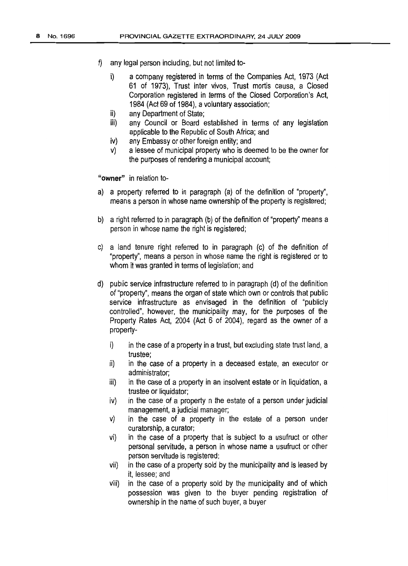- $n = \frac{1}{2}$  any legal person including, but not limited to
	- i) a company registered in terms of the Companies Act, 1973 (Act 61 of 1973), Trust inter vivos, Trust mortis causa, a Closed Corporation registered in terms of the Closed Corporation's Act, 1984 (Act 69 of 1984), a voluntary association;
	- ii) any Department of State;
	- iii) any Council or Board established in terms of any legislation applicable to the Republic of South Africa; and
	- iv) any Embassy or other foreign entity; and
	- v) a lessee of municipal property who is deemed to be the owner for the purposes of rendering a municipal account;

**"owner"** in relation to-

- a) a property referred to in paragraph (a) of the definition of "property", means a person in whose name ownership of the property is registered;
- b) a right referred to in paragraph (b) of the definition of "property" means a person inwhose name the right is registered;
- c) a land tenure right referred to in paragraph (c) of the definition of "property", means a person in whose name the right is registered or to whom it was granted in terms of legislation; and
- d) public service infrastructure referred to in paragraph (d) of the definition of"property", means the organ of state which own orcontrols that public service infrastructure as envisaged in the definition of "publicly controlled", however, the municipality may, for the purposes of the Property Rates Act, 2004 (Act 6 of 2004), regard as the owner of a property
	- $i)$  in the case of a property in a trust, but excluding state trust land, a trustee;
	- ii) in the case of a property in a deceased estate, an executor or administrator;
	- iii) in the case of a property in an insolvent estate or in liquidation, a trustee or liquidator;
	- iv) in the case of a property n the estate of a person under judicial management, a judicial manager;
	- v) in the case of a property in the estate of a person under curatorship, a curator;
	- vi) in the case of a property that is subject to a usufruct or other personal servitude, a person in whose name a usufruct or other person servitude is registered;
	- vii) in the case of a property sold by the municipality and is leased by it, lessee; and
	- Viii) in the case of a property sold by the municipality and of which possession was given to the buyer pending registration of ownership in the name of such buyer, a buyer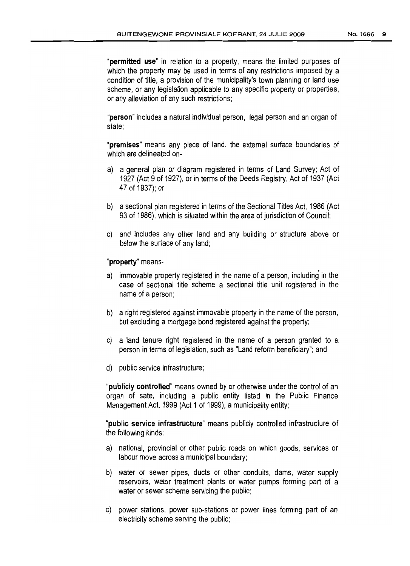"permitted use" in relation to a property, means the limited purposes of which the property may be used in terms of any restrictions imposed by a condition of title, a provision of the municipality's town planning or land use scheme, or any legislation applicable to any specific property or properties, or any alleviation of any such restrictions;

"person" includes a natural individual person, legal person and an organ of state;

"premises" means any piece of land, the external surface boundaries of which are delineated on-

- a) a general plan or diagram registered in terms of Land Survey; Act of 1927 (Act 9 of 1927), or in terms of the Deeds Registry, Act of 1937 (Act 47 of 1937); or
- b) a sectional plan registered in terms of the Sectional Titles Act, 1986 (Act 93 of 1986), which is situated within the area of jurisdiction of Council;
- c) and includes any other land and any buildinq or structure above or below the surface of any land;

#### "property" means-

- a) immovable property registered in the name of a person, including in the case of sectional title scheme a sectional title unit registered in the name of a person;
- b) a right registered against immovable property in the name of the person, but excluding a mortgage bond registered against the property;
- c) a land tenure right registered in the name of a person granted to a person in terms of legislation, such as "Land reform beneficiary"; and
- d) public service infrastructure;

"publicly controlled" means owned by or otherwise under the control of an organ of sate, including a public entity listed in the Public Finance Management Act, 1999 (Act 1 of 1999), a municipality entity;

"public service infrastructure" means publicly controlled infrastructure of the following kinds:

- a) national, provincial or other public roads on which goods, services or labour move across a municipal boundary;
- b) water or sewer pipes, ducts or other conduits, dams, water supply reservoirs, water treatment plants or water pumps forming part of a water or sewer scheme servicing the public:
- c) power stations, power sub-stations or power lines forming part of an electricity scheme serving the public;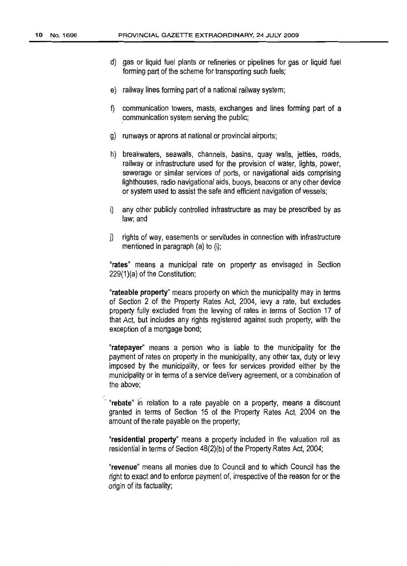- d) gas or liquid fuel plants or refineries or pipelines for gas or liquid fuel forming part of the scheme for transporting such fuels;
- e) railway lines forming part of a national railway system;
- f) communication towers, masts, exchanges and lines forming part of a ,communication system serving the public;
- g) runways oraprons atnationalor provincial airports;
- h) breakwaters, seawalls, channels, basins, quay walls, jetties, roads, railway or infrastructure used for the provision of water, lights, power, sewerage or similar services of ports, or navigational aids comprising lighthouses, radio navigational aids, buoys, beacons or any other device or system used to assist the safe and efficient navigation of vessels;
- i) any other publicly controlled infrastructure as may be prescribed by as law; and
- j) rights of way, easements or servitudes in connection with infrastructure mentioned in paragraph  $(a)$  to  $(i)$ ;

"rates" means a municipal rate on property as envisaged in Section  $229(1)(a)$  of the Constitution;

"rateable property" means property on which the municipality may in terms of Section 2 of the Property Rates Act, 2004, levy a rate, but excludes property fully excluded from the levying of rates in terms of Section 17 of that Act, but includes any rights registered against such property, with the exception of a mortgage bond;

"ratepayer" means a person who is liable to the municipality for the payment of rates on property in the municipality, any other tax, duty or levy imposed by the municipality, or fees for services provided either by the municipality or in terms of a service delivery agreement, or a combination of the above:

"rebate" in relation to a rate payable on a property, means a discount granted in terms of Section 15 of the Property Rates Act, 2004 on the amount of the rate payable on the property;

"residential property" means a property included in the valuation roll as residential in terms of Section  $48(2)(b)$  of the Property Rates Act, 2004;

"revenue" means all monies due to Council and to which Council has the right to exact and to enforce payment of, irrespective of the reason for or the origin of its factuality;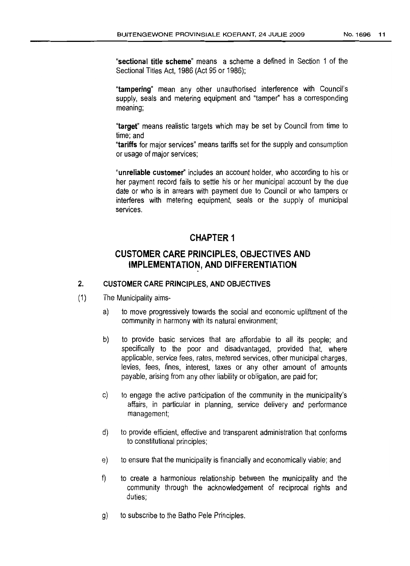"sectional title scheme" means a scheme a defined in Section 1 of the Sectional Titles Act, 1986 (Act 95 or 1986);

"tampering" mean any other unauthorised interference with Council's supply, seals and metering equipment and "tamper" has a corresponding meaning;

"target" means realistic targets which may be set by Council from time to time; and

"tariffs for major services" means tariffs setfor the supply and consumption or usage of major services;

"unreliable customer" includes an account holder, who according to his or her payment record fails to settle his or her municipal account by the due date or who is in arrears with payment due to Council or who tampers or interferes with metering equipment, seals or the supply of municipal services.

## CHAPTER 1

## CUSTOMER CARE PRINCIPLES, OBJECTIVES AND IMPLEMENTATION, AND DIFFERENTIATION

#### 2. CUSTOMER CARE PRINCIPLES, AND OBJECTIVES

- (1) The Municipality aims
	- a) to move progressively towards the social and economic upliftment of the community in harmony with its natural environment;
	- b) to provide basic services that are affordable to all its people; and specifically to the poor and disadvantaged, provided that, where applicable, service fees, rates, metered services, other municipal charges, levies, fees, fines, interest, taxes or any other amount of amounts payable, arising from any other liability or obligation, are paid for;
	- c) to engage the active participation of the community in the municipality's affairs, in particular in planning, service delivery and performance management;
	- d) to provide efficient, effective and transparent administration that conforms to constitutional principles;
	- e) to ensure that the municipality is financially and economically viable; and
	- f) to create a harmonious relationship between the municipality and the community through the acknowledgement of reciprocal rights and duties;
	- g) to subscribe to the Batho Pele Principles.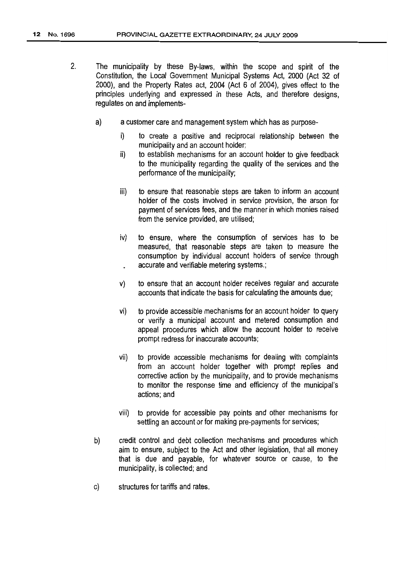- 2. The municipality by these By-laws, within the scope and spirit of the Constitution, the Local Government Municipal Systems Act, 2000 (Act 32 of 2000), and the Property Rates act, 2004 (Act 6 of 2004), gives effect to the principles underlying and expressed in these Acts, and therefore designs, regulates on and implements
	- a) a customer care and management system which has as purpose
		- i) to create a positive and reciprocal relationship between the municipality and an account holder;
		- ii) to establish mechanisms for an account holder to give feedback to the municipality regarding the quality of the services and the performance of the municipality;
		- iii) to ensure that reasonable steps are taken to inform an account holder of the costs involved in service provision, the arson for payment of services fees, and the manner in which monies raised from the service provided, are utilised;
		- iv) to ensure, where the consumption of services has to be measured, that reasonable steps are taken to measure the consumption by individual account holders of service through accurate and verifiable metering systems.;
		- v) to ensure that an account holder receives regular and accurate accounts that indicate the basis for calculating the amounts due;
		- vi) to provide accessible mechanisms foran account holder to query or verify a municipal account and metered consumption and appeal procedures which allow the account holder to receive prompt redress for inaccurate accounts;
		- vii) to provide accessible mechanisms for dealing with complaints from an account holder together with prompt replies and corrective action by the municipality, and to provide mechanisms to monitor the response time and efficiency of the municipal's actions; and
		- viii) to provide for accessible pay points and other mechanisms for settling an account or for making pre-payments for services;
	- b) credit control and debt collection mechanisms and procedures which aim to ensure, subject to the Act and other legislation, that all money that is due and payable, for whatever source or cause, to the municipality, is collected; and
	- c) structures for tariffs and rates.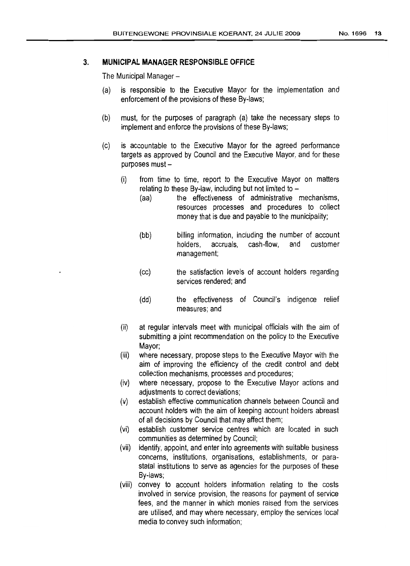#### 3. **MUNICIPAL MANAGER RESPONSIBLE OFFICE**

The Municipal Manager-

- (a) is responsible to the Executive Mayor for the implementation and enforcement of the provisions of these By-laws;
- (b) must, for the purposes of paragraph (a) take the necessary steps to implement and enforce the provisions of these By-laws;
- (c) is accountable to the Executive Mayor for the agreed performance targets as approved by Council and the Executive Mayor, and for these purposes must-
	- (i) from time to time, report to the Executive Mayor on matters relating to these By-law, including but not limited to  $-$ 
		- (aa) the effectiveness of administrative mechanisms, resources processes and procedures to collect money that is due and payable to the municipality;
		- (bb) billing information, including the number of account holders, accruals, cash-flow, and customer management;
		- (cc) the satisfaction levels of account holders regarding services rendered; and
		- (dd) the effectiveness of Council's indigence relief measures; and
	- (ii) at regular intervals meet with municipal officials with the aim of submitting a joint recommendation on the policy to the Executive Mayor;
	- (iii) where necessary, propose steps to the Executive Mayor with the aim of improving the efficiency of the credit control and debt collection mechanisms, processes and procedures;
	- (iv) where necessary, propose to the Executive Mayor actions and adjustments to correct deviations;
	- (v) establish effective communication channels between Council and account holders with the aim of keeping account holders abreast of all decisions by Council that may affect them;
	- (vi) establish customer service centres which are located in such communities as determined by Council;
	- (vii) identify, appoint, and enter into agreements with suitable business concerns, institutions, organisations, establishments, or parastatal institutions to serve as agencies for the purposes of these By-laws;
	- (viii) convey to account holders information relating to the costs involved in service provision, the reasons for payment of service fees, and the manner in which monies raised from the services are utilised, and may where necessary, employ the services local media to convey such information;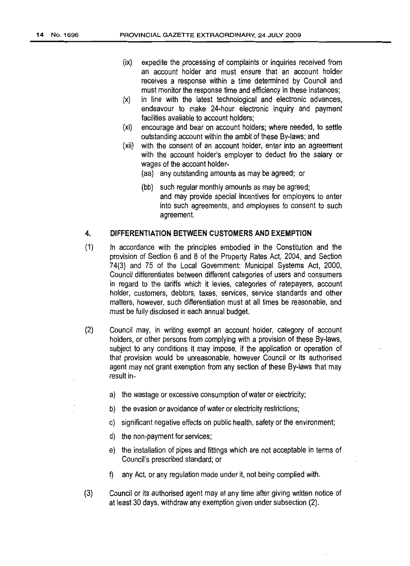- (ix) expedite the processing of complaints or inquiries received from an account holder and must ensure that an account holder receives a response within a time determined by Council and must monitor the response time and efficiency in these instances;
- (x) in line with the latest technological and electronic advances, endeavour to make 24-hour electronic inquiry and payment facilities available to account holders:
- (xi) encourage and bear on account holders: where needed, to settle outstanding account within the ambit of these By-laws; and
- (xii) with the consent of an account holder, enter into an agreement with the account holder's employer to deduct fro the salary or wages of the account holder-
	- (aa) any outstanding amounts as may be agreed; or
	- (bb) such regular monthly amounts as may be agreed; and may provide special incentives for employers to enter into such agreements, and employees to consent to such agreement.

#### **4. DIFFERENTIATION BETWEEN CUSTOMERS AND EXEMPTION**

- (1) In accordance with the principles embodied in the Constitution and the provision of Section 6 and 8 of the Property Rates Act, 2004, and Section 74(3) and 75 of the Local Government: Municipal Systems Act, 2000, Council differentiates between different categories of users and consumers in regard to the tariffs which it levies, categories of ratepayers, account holder, customers, debtors, taxes, services, service standards and other matters, however, such differentiation must at all times be reasonable, and must be fully disclosed in each annual budget.
- (2) Council may, in writing exempt an account holder, category of account holders, or other persons from complying with a provision of these By-laws, subject to any conditions it may impose, if the application or operation of that provision would be unreasonable, however Council or its authorised agent may not grant exemption from any section of these By-laws that may result in
	- a) the wastage or excessive consumption of water or electricity;
	- b) the evasion or avoidance of water or electricity restrictions;
	- c) significant negative effects on public health, safety or the environment;
	- d) the non-payment for services;
	- e) the installation of pipes and fittings which are not acceptable in terms of Council's prescribed standard; or
	- f) any Act, or any regulation made under it, not being complied with.
- (3) Councilor its authorised agent may at any time after giving written notice of at least 30 days, withdraw any exemption given under subsection (2).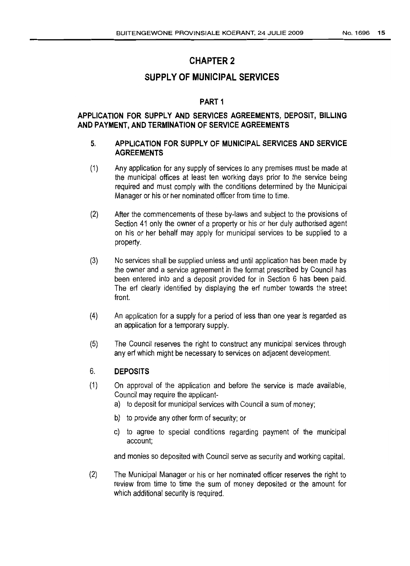# CHAPTER 2

## **SUPPLY OF MUNICIPAL SERVICES**

## PART 1

#### **APPLICATION FOR SUPPLY AND SERVICES AGREEMENTS, DEPOSIT, BILLING AND PAYMENT, AND TERMINATION OF SERVICE AGREEMENTS**

#### 5. **APPLICATION FOR SUPPLY OF MUNICIPAL SERVICES AND SERVICE AGREEMENTS**

- (1) Any application for any supply of services to any premises must be made at the municipal offices at least ten working days prior to the service being required and must comply with the conditions determined by the Municipal Manager or his or her nominated officer from time to time.
- (2) After the commencements of these by-laws and subject to the provisions of Section <sup>41</sup> only the owner of a property or his or her duly authorised agent on his or her behalf may apply for municipal services to be supplied to a property.
- (3) No services shall be supplied unless and until application has been made by the owner and a service agreement in the format prescribed by Council has been entered into and a deposit provided for in Section 6 has been paid. The erf clearly identified by displaying the erf number towards the street front.
- (4) An application for a supply for a period of less than one year is regarded as an application for a temporary supply.
- (5) The Council reserves the right to construct any municipal services through any erf which might be necessary to services on adjacent development.

#### 6. **DEPOSITS**

- (1) On approval of the application and before the service is made available, Council may require the applicant
	- a) to deposit for municipal services with Council a sum of money;
	- b) to provide any other form of security; or
	- c) to agree to special conditions regarding payment of the municipal account;

and monies sodeposited with Council serve as security and working capital.

(2) The Municipal Manager or his or hernominated officer reserves the right to review from time to time the sum of money deposited or the amount for which additional security is required.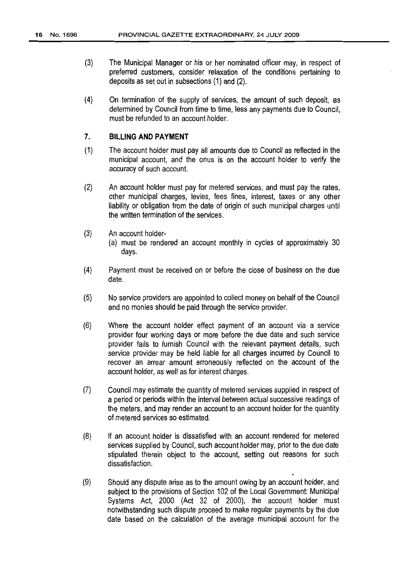- (3) The Municipal Manager or his or her nominated officer may, in respect of preferred customers, consider relaxation of the conditions pertaining to deposits as set out in subsections (1) and (2).
- (4) On termination of the supply of services, the amount of such deposit, as determined by Council from time to time, less any payments due to Council, must be refunded to an account holder.

#### 7. **BILLING AND PAYMENT**

- (1) The account holder must pay all amounts due to Council as reflected in the municipal account, and the onus is on the account holder to verify the accuracy of such account.
- (2) An account holder must pay for metered services, and must pay the rates, other municipal charges, levies, fees 'fines, interest, taxes or any other liability or obligation from the date of origin of such municipal charges until the written termination of the services.
- (3) An account holder-
	- (a) must be rendered an account monthly in cycles of approximately 30 days.
- (4) Payment must be received on or before the close of business on the due date.
- (5) No service providers are appointed to collect money on behalf of the Council and no monies should be paid through the service provider.
- (6) Where the account holder effect payment of an account via a service provider four working days or more before the due date and such service provider fails to furnish Council with the relevant payment details, such service provider may be held liable for all charges incurred by Council to recover an arrear amount erroneously reflected on the account of the account holder, as well as for interest charges.
- (7) Council may estimate the quantity of metered services supplied in respect of a period or periods within the interval between actual successive readings of the meters, and may render an account to an account holder for the quantity of metered services soestimated.
- (8) If an account holder is dissatisfied with an account rendered for metered services supplied by Council, such account holder may, prior to the due date stipulated therein object to the account, setting out reasons for such dissatisfaction.
- (9) Should any dispute arise as to the amount owing by an account holder, and subject to the provisions of Section 102 of the Local Government: Municipal Systems Act, 2000 (Act 32 of 2000), the account holder must notwithstanding such dispute proceed to make regular payments bythe due date based on the calculation of the average municipal account for the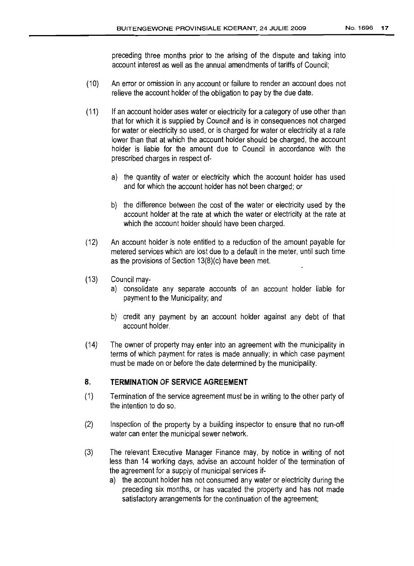- (10) An error or omission in any account or failure to render an account does not relieve the account holder of the obligation to pay by the due date.
- ('11) If an account holder uses water or electricity for a category of use other than that for which it is supplied by Council and is in consequences notcharged for water or electricity so used, or is charged for water or electricity at a rate lower than that at which the account holder should be charged, the account holder is liable for the amount due to Council in accordance with the prescribed charges in respect of
	- a) the quantity of water or electricity which the account holder has used and for which the account holder has not been charged; or
	- b) the difference between the cost of the water or electricity used by the account holder at the rate at which the water or electricity at the rate at which the account holder should have been charged.
- (12) An account holder is note entitled to a reduction of the amount payable for metered services which are lost due to a default in the meter, until such time as the provisions of Section  $13(8)(c)$  have been met.
- (13) Council may
	- a) consolidate any separate accounts of an account holder liable for payment to the Municipality; and
	- b) credit any payment by an account holder against any debt of that account holder.
- ('14) The owner of property may enter into an agreement with the municipality in terms of which payment for rates is made annually; in which case payment must be made on or before the date determined by the municipality.

#### 8. **TERMINATION OF SERVICE AGREEMENT**

- (1) Termination of the service agreement must be in writing to the other party of the intention to do so.
- (2) Inspection of the property by a building inspector to ensure that no run-off water can enter the municipal sewer network.
- (3) The relevant Executive Manager Finance may, by notice in writing of not less than 14 working days, advise an account holder of the termination of the agreement for a supply of municipal services if
	- a) the account holder has not consumed any water or electricity during the preceding six months, or has vacated the property and has not made satisfactory arrangements for the continuation of the agreement;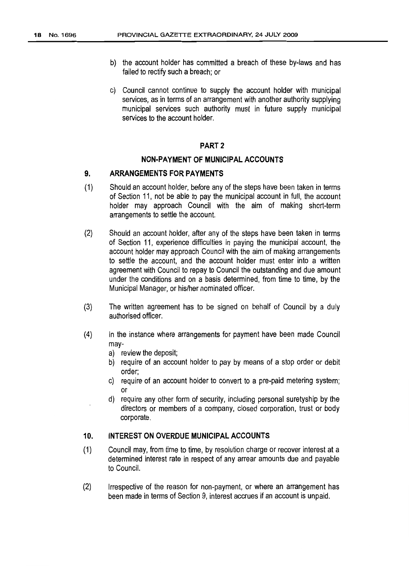- b) the account holder has committed a breach of these by-laws and has failed to rectify such a breach; or
- c) Council cannot continue to supply the account holder with municipal services, as in terms of an arrangement with another authority supplying municipal services such authority must in future supply municipal services to the account holder.

#### PART 2

#### **NON-PAYMENT OF MUNICIPAL ACCOUNTS**

#### **9. ARRANGEMENTS FOR PAYMENTS**

- (1) Should an account holder, before any of the steps have been taken in terms of Section 11, not be able to pay the municipal account in full, the account holder may approach Council with the aim of making short-term arrangements to settle the account.
- (2) Should an account holder, after any of the steps have been taken in terms of Section 11, experience difficulties in paying the municipal account, the account holder may approach Council with the aim of making arrangements to settle the account, and the account holder must enter into a written agreement with Council to repay to Council the outstanding and due amount under the conditions and on a basis determined, from time to time, by the Municipal Manager, or his/her nominated officer.
- (3) The written agreement has to be signed on behalf of Council by a duly authorised officer.
- (4) In the instance where arrangements for payment have been made Council may
	- a) review the deposit;
	- b) require of an account holder to pay by means of a stop order or debit order;
	- c) require of an account holder to convert to a pre-paid metering system; or
	- d) require any other form of security, including personal suretyship by the directors or members of a company, closed corporation, trust or body corporate.

#### **10. INTEREST ON OVERDUE MUNICIPAL ACCOUNTS**

- (1) Council may, from time to time, by resolution charge or recover interest at a determined interest rate in respect of any arrear amounts due and payable to Council.
- (2) Irrespective of the reason for non-payment, or where an arrangement has been made in terms of Section 9, interest accrues if an account is unpaid.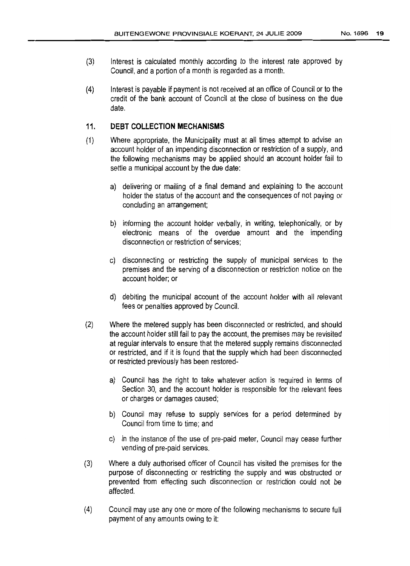- (3) Interest is calculated monthly according to the interest rate approved by Council, and a portion of a month is regarded as a month.
- (4) Interest is payable if payment is notreceived at an office of Council orto the credit of the bank account of Council at the close of business on the due date.

#### 11. **DEBT COLLECTION MECHANISMS**

- (1) Where appropriate. the Municipality must at all times attempt to advise an account holder of an impending disconnection or restriction of a supply, and the following mechanisms may be applied should an account holder fail to settle a municipal account by the due date:
	- a) delivering or mailing of a final demand and explaining to the account holder the status of the account and the consequences of not paying or concluding an arrangement;
	- b) informing the account holder verbally, in writing, telephonically, or by electronic means of the overdue amount and the impending disconnection or restriction of services;
	- c) disconnecting or restricting the supply of municipal services to the premises and fhe serving of a disconnection or restriction notice on the account holder; or
	- d) debiting the municipal account of the account holder with all relevant fees or penalties approved by Council.
- (2) Where the metered supply has been disconnected or restricted, and should the account holder still fail to pay the account, the premises may be revisited at regular intervals to ensure that the metered supply remains disconnected or restricted, and if it is found that the supply which had been disconnected or restricted previously has been restored
	- a) Council has the right to take whatever action is required in terms of Section 3D, and the account holder is responsible for the relevant fees or charges or damages caused;
	- b) Council may refuse to supply services for a period determined by Council from time to time; and
	- c) in the instance of the use of pre-paid meter, Council may cease further vending of pre-paid services.
- (3) Where a duly authorised officer of Council has visited the premises for the purpose of disconnecting or restricting the supply and was obstructed or prevented from effecting such disconnection or restriction could not be affected.
- (4) Council may use anyone or more of the following mechanisms to secure full payment of any amounts owing to it: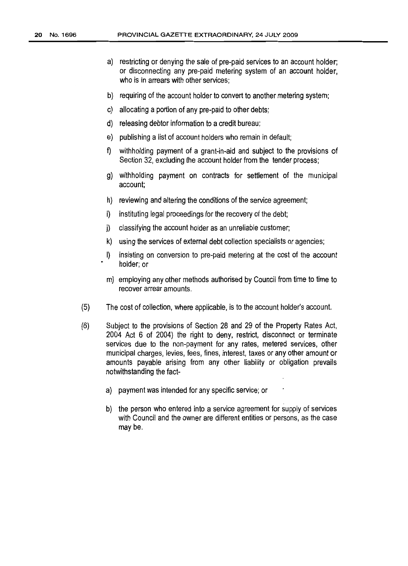- a) restricting or denying the sale of pre-paid services to an account holder; or disconnecting any pre-paid metering system of an account holder, who is in arrears with other services;
- b) requiring of the account holder to convert to another metering system;
- c) allocating a portion of any pre-paid to other debts;
- d) releasing debtor information to a credit bureau;
- e) publishing a list of account holders who remain in default;
- f) withholding payment of a grant-in-aid and subject to the provisions of Section 32, excluding the account holder from the tender process;
- g) withholding payment on contracts for settlement of the municipal account;
- h) reviewing and altering the conditions of the service agreement;
- i) instituting legal proceedings for the recovery of the debt;
- j) ciassifying the account holder as an unreliable customer;
- k) using the services of external debt collection specialists or agencies;
- I) insisting on conversion to pre-paid metering at the cost of the account holder; or
- m) employing any other methods authorised by Council from time to time to recover arrear amounts.
- (5) The cost of collection, where applicable, isto the account holder's account.
- (6) Subject to the provisions of Section 28 and 29 of the Property Rates Act, 2004 Act 6 of 2004) the right to deny, restrict, disconnect or terminate services due to the non-payment for any rates, metered services, other municipal charges, levies, fees, fines, interest, taxes or any other amount or amounts payable arising from any other liability or obligation prevails notwithstanding the fact
	- a) payment was intended for any specific service; or
	- b) the person who entered into a service agreement for supply of services with Council and the owner are different entities or persons, as the case may be.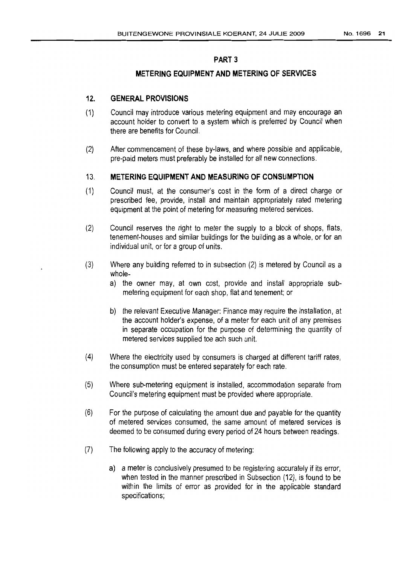#### PART 3

### **METERING EQUIPMENT AND METERING OF SERVICES**

#### **12. GENERAL PROVISIONS**

- ('I) Council may introduce various metering equipment and may encourage an account holder to convert to a system which is preferred by Council when there are benefits for Council.
- (2) After commencement of these by-laws, and where possible and applicable, pre-paid meters must preferably be installed forall new connections.

#### 13. **METERING EQUIPMENT AND MEASURING OF CONSUMPTION**

- (1) Council must, at the consumer's cost in the form of a direct charge or prescribed fee, provide, install and maintain appropriately rated metering equipment at the point of metering for measuring metered services.
- (2) Council reserves the right to meter the supply to a block of shops, fiats, tenement-houses and similar buildings forthe building as a whole, or for an individual unit, or for a group of units.
- (3) Where any building referred to in subsection (2) is metered by Council as a whole
	- a) the owner may, at own cost, provide and install appropriate submetering equipment for each shop, flat and tenement; or
	- b) the relevant Executive Manager: Finance may require the installation, at the account holder's expense, of a meter for each unit of any premises in separate occupation for the purpose of determining the quantity of metered services supplied toe ach such unit.
- (4) Where the electricity used by consumers is charged at different tariff rates, the consumption must be entered separately for each rate.
- (5) Where SUb-metering equipment is installed, accommodation separate from Council's metering equipment must be provided where appropriate.
- (6) Forthe purpose of calculating the amount due and payable for the quantity of metered services consumed, the same amount of metered services is deemed to be consumed during every period of 24 hours between readings.
- (7) The following apply to the accuracy of metering:
	- a) a meter is conclusively presumed to be registering accurately if its error, when tested in the manner prescribed in Subsection (12), is found to be within the limits of error as provided for in the applicable standard specifications;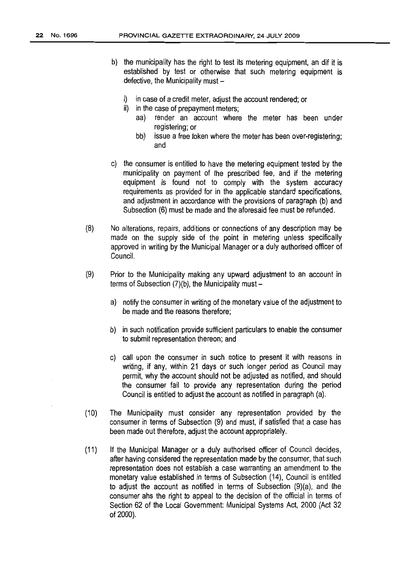- b} the municipality has the right to test its metering equipment, an dif it is established by test or otherwise that such metering equipment is defective, the Municipality must  $$ 
	- i) in case of a credit meter, adjust the account rendered; or
	- ii) in the case of prepayment meters;
		- aa} render an account where the meter has been under registering; or
		- bb) issue a free token where the meter has been over-registering; and
- c) the consumer is entitled to have the metering equipment tested by the municipality on payment of the prescribed fee, and if the metering equipment is found not to comply with the system accuracy requirements as provided for in the applicable standard specifications, and adjustment in accordance with the provisions of paragraph (b) and Subsection (6) must be made and the aforesaid fee must be refunded.
- {8} No alterations, repairs, additions or connections of any description may be made on the supply side of the point in metering unless specifically approved in writing by the Municipal Manager or a duly authorised officer of Council.
- (9) Prior to the Municipality making any upward adjustment to an account in terms of Subsection  $(7)(b)$ , the Municipality must  $$ 
	- a) notify the consumer in writing of the monetary value of the adjustment to be made and the reasons therefore;
	- b} in such notification provide sufficient particulars to enable the consumer to submit representation thereon; and
	- c) call upon the consumer in such notice to present it with reasons in writing, if any, within 21 days or such longer period as Council may permit, why the account should not be adjusted as notified, and should the consumer fail to provide any representation during the period Council is entitled to adjust the account as notified in paragraph (a).
- (10) The Municipality must consider any representation provided by the consumer in terms of Subsection (9) and must, if satisfied that a case has been made out therefore, adjust the account appropriately.
- (11) If the Municipal Manager or a duly authorised officer of Council decides, after having considered the representation made bythe consumer, that such representation does not establish a case warranting an amendment to the monetary value established in terms of Subsection (14), Council is entitled to adjust the account as notified in terms of Subsection (9)(a), and the consumer ahs the right to appeal to the decision of the official in terms of Section 62 of the Local Government: Municipal Systems Act, 2000 (Act 32 of 2000).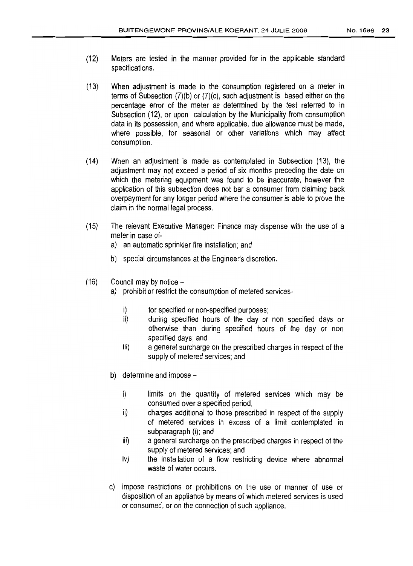- (12) Meters are tested in the manner provided for in the applicable standard specifications.
- (13) When adjustment is made to the consumption registered on a meter in terms of Subsection (7)(b) or (7)(c), such adjustment is based either on the percentage error of the meter as determined by the test referred to in Subsection (12), or upon calculation by the Municipality from consumption data in its possession, and where applicable, due allowance must be made, where possible, for seasonal or other variations which may affect consumption.
- ('14) When an adjustment is made as contemplated in Subsection (13), the adjustment may not exceed a period of six months preceding the date on which the metering equipment was found to be inaccurate, however the application of this subsection does not bar a consumer from claiming back overpayment for any longer period where the consumer is able to prove the claim in the normal legal process.
- ('15) The relevant Executive Manager: Finance may dispense with the use of a meter in case of
	- a) an automatic sprinkler fire installation; and
	- b) special circumstances at the Engineer's discretion.
- $(16)$  Council may by notice
	- a) prohibit or restrict the consumption of metered services
		- i) for specified or non-specified purposes;
		- ii) during specified hours of the day or non specified days or otherwise than during specified hours of the day or non specified days; and
		- iii) a general surcharge on the prescribed charges in respect of the supply of metered services; and
	- b) determine and impose
		- i) limits on the quantity of metered services which may be consumed over a specified period;
		- ii) charges additional to those prescribed in respect of the supply of metered services in excess of a limit contemplated in subparagraph (i); and
		- iii) a general surcharge on the prescribed charges in respect of the supply of metered services; and
		- iv) the installation of a flow restricting device where abnormal waste of water occurs.
	- c) impose restrictions or prohibitions on the use or manner of use or disposition of an appliance by means of which metered services is used or consumed, or on the connection of such appliance.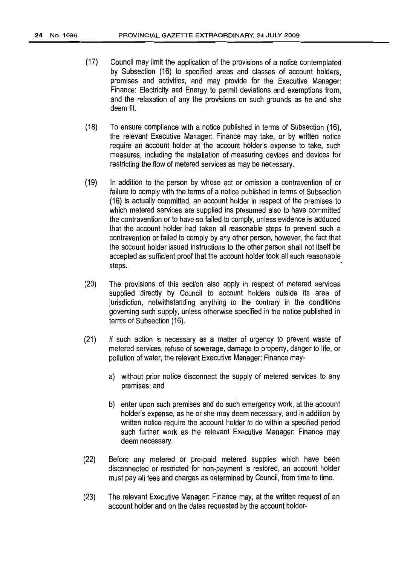- (17) Council may limit the application of the provisions of a notice contemplated by Subsection (16) to specified areas and classes of account holders, premises and activities, and may provide for the Executive Manager: Finance: Electricity and Energy to permit deviations and exemptions from, and the relaxation of any the provisions on such grounds as he and she deem fit.
- (18) To ensure compliance with a notice published in terms of Subsection (16), the relevant Executive Manager: Finance may take, or by written notice require an account holder at the account holder's expense to take, such measures, including the installation of measuring devices and devices for restricting the flow of metered services as may be necessary.
- (19) In addition to the person by whose act or omission a contravention of or failure to comply with the terms of a notice published in terms of Subsection (16) is actually committed, an account holder in respect of the premises to which metered services are supplied ins presumed also to have committed the contravention or to have so failed to comply, unless evidence is adduced that the account holder had taken all reasonable steps to prevent such a contravention or failed to comply by any other person, however, the fact that the account holder issued instructions to the other person shall not itself be accepted as sufficient proof that the account holder took all such reasonable steps.
- (20) The provisions of this section also apply in respect of metered services supplied directly by Council to account holders outside its area of jurisdiction, notwithstanding anything to the contrary in the conditions governing such supply, unless otherwise specified in the notice published in terms of Subsection (16).
- (21) If such action is necessary as a matter of urgency to prevent waste of metered services, refuse of sewerage, damage to property, danger to life, or pollution of water, the relevant Executive Manager: Finance may
	- a) without prior notice disconnect the supply of metered services to any premises; and
	- b) enter upon such premises and do such emergency work, at the account holder's expense, as he or she may deem necessary, and in addition by written notice require the account holder to do within a specified period such further work as the relevant Executive Manager: Finance may deem necessary.
- (22) Before any metered or pre-paid metered supplies which have been disconnected or restricted for non-payment is restored, an account holder must pay all fees and charges as determined by Council, from time to time.
- (23) The relevant Executive Manager: Finance may, at the written request of an account holder and on the dates requested by the account holder-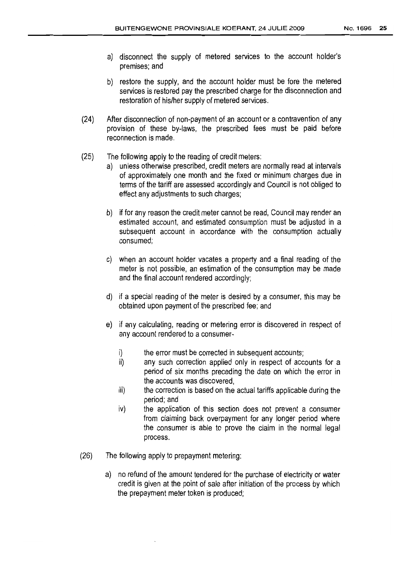- a) disconnect the supply of metered services to the account holder's premises; and
- b) restore the supply, and the account holder must be fore the metered services is restored pay the prescribed charge for the disconnection and restoration of his/her supply of metered services.
- (24) After disconnection of non-payment of an account or a contravention of any provision of these by-laws, the prescribed fees must be paid before reconnection is made.
- (25) The following apply to the reading of credit meters:
	- a) unless otherwise prescribed, credit meters are normally read at intervals of approximately one month and the fixed or minimum charges due in terms of the tariff are assessed accordingly and Council is not obliged to effect any adjustments to such charges;
	- b) if forany reason the credit meter cannot be read, Council may render an estimated account, and estimated consumption must be adjusted in a subsequent account in accordance with the consumption actually consumed;
	- c) when an account holder vacates a property and a final reading of the meter is not possible, an estimation of the consumption may be made and the final account rendered accordingly;
	- d) if a special reading of the meter is desired by a consumer, this may be obtained upon payment of the prescribed fee; and
	- e) if any calculating, reading or metering error is discovered in respect of any account rendered to a consumer
		- i) the error must be corrected in subsequent accounts;
		- ii) any such correction applied only in respect of accounts for a period of six months preceding the date on which the error in the accounts was discovered,
		- iii) the correction is based on the actual tariffs applicable during the period; and
		- iv) the application of this section does not prevent a consumer from claiming back overpayment for any longer period where the consumer is able to prove the claim in the normal legal process.
- (26) The following apply to prepayment metering:
	- a) no refund of the amount tendered for the purchase of electricity or water credit is given at the point of sale after initiation of the process by which the prepayment meter token is produced;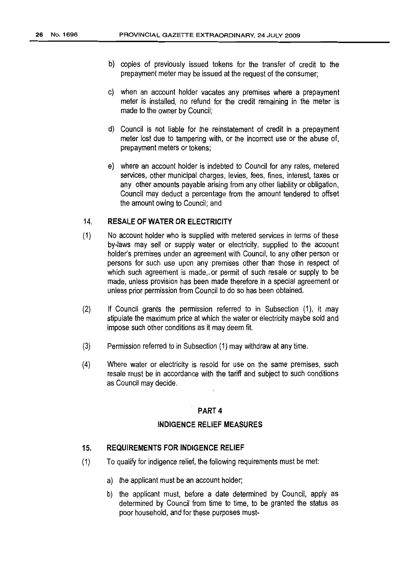- b) copies of previously issued tokens for the transfer of credit to the prepayment meter may be issued at the request of the consumer;
- c) when an account holder vacates any premises where a prepayment meter is installed, no refund for the credit remaining in the meter is made to the owner by Council;
- d) Council is not liable for the reinstatement of credit in a prepayment meter lost due to tampering with, or the incorrect use or the abuse of, prepayment meters or tokens;
- e) where an account holder is indebted to Council for any rates, metered services, other municipal charges, levies, fees, fines, interest, taxes or any other amounts payable arising from any other liability or obligation, Council may deduct a percentage from the amount tendered to offset the amount owing to Council; and

#### 14. **RESALE OF WATER OR ELECTRICITY**

- (1) No account holder who is supplied with metered services in terms of these by-laws may sell or supply water or electricity, supplied to the account holder's premises under an agreement with Council, to any other person or persons for such use upon any premises other than those in respect of which such agreement is made,. or permit of such resale or supply to be made, unless provision has been made therefore in a special agreement or unless prior permission from Council to do so has been obtained.
- (2) If Council grants the permission referred to in Subsection (1), it may stipulate the maximum price at which the water or electricity maybe sold and impose such other conditions as it may deem fit.
- (3) Permission referred to in Subsection (1) may withdraw atany time.
- (4) Where water or electricity is resold for use on the same premises, such resale must be in accordance with the tariff and subject to such conditions as Council may decide.

#### PART 4

#### **INDIGENCE RELIEF MEASURES**

#### **15. REQUIREMENTS FOR INDIGENCE RELIEF**

- (1) To qualify for indigence relief, the following requirements must be met:
	- a) the applicant must be an account holder;
	- b) the applicant must, before a date determined by Council, apply as determined by Council from time to time, to be granted the status as poor household, and for these purposes must-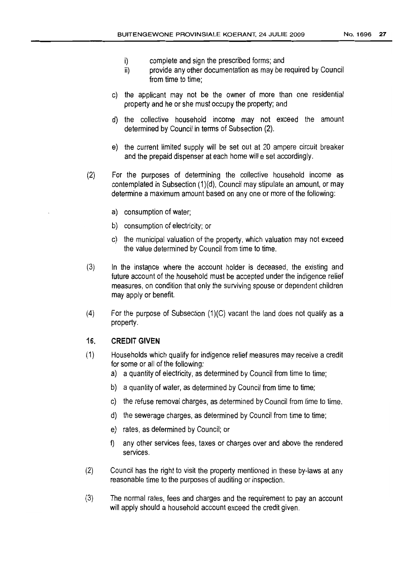- i) complete and sign the prescribed forms; and
- ii) provide any other documentation as may be required by Council from time to time:
- c) the applicant may not be the owner of more than one residential property and he or she must occupy the property; and
- d) the collective household income may not exceed the amount determined byCouncil in terms of Subsection (2).
- e) the current limited supply wilt be set out at 20 ampere circuit breaker and the prepaid dispenser at each home will e set accordingly.
- (2) For the purposes of determining the collective household income as contemplated in Subsection (1)(d), Council may stipulate an amount, or may determine a maximum amount based on anyone or more of the following:
	- a) consumption of water;
	- b) consumption of electricity; or
	- c) the municipal valuation of the property, which valuation may notexceed the value determined byCouncil from time to time.
- (3) In the instance where the account holder is deceased, the existing and future account of the household must be accepted under the indigence relief measures, on condition that only the surviving spouse or dependent children may apply or benefit.
- $(4)$  For the purpose of Subsection  $(1)(C)$  vacant the land does not qualify as a property.

#### **16. CREDIT GIVEN**

- (1) Households which qualify forindigence relief measures may receive a credit for some or all of the following:
	- a) a quantity of electricity, as determined by Council from time to time;
	- b) a quantity of water, as determined by Council from time to time;
	- c) the refuse removal charges, as determined byCouncil from time to time.
	- d) the sewerage charges, as determined byCouncil from time to time;
	- e) rates, as determined by Council; or
	- any other services fees, taxes or charqes over and above the rendered services.
- (2) Council has the right to visit the property mentioned in these by-laws at any reasonable time to the purposes of auditing or inspection.
- (3) The normal rates, fees and charges and the requirement to pay an account will apply should a household account exceed the credit given.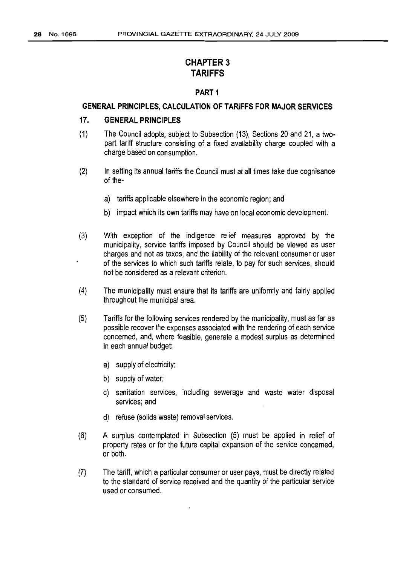# CHAPTER 3 **TARIFFS**

#### PART 1

### **GENERAL PRINCIPLES, CALCULATION OF TARIFFS FOR MAJOR SERVICES**

## **17. GENERAL PRINCIPLES**

- (1) The Council adopts, subject to Subsection (13), Sections 20 and 21, a twopart tariff structure consisting of a fixed availability charge coupled with a charge based on consumption.
- (2) In setting its annual tariffs the Council must at all times take due cognisance of the
	- a) tariffs applicable elsewhere in the economic region; and
	- b) impact which its own tariffs may have on local economic development.
- (3) With exception of the indigence relief measures approved by the municipality, service tariffs imposed by Council should be viewed as user charges and not as taxes, and the liability of the relevant consumer or user of the services to which such tariffs relate, to pay for such services, should not be considered as a relevant criterion.
- (4) The municipality must ensure that its tariffs are uniformly and fairly applied throughout the municipal area.
- (5) Tariffs forthe following services rendered bythe municipality, must as far as possible recover the expenses associated with the rendering of each service concerned, and, where feasible, generate a modest surplus as determined in each annual budget:
	- a) supply of electricity;
	- b) supply of water;
	- c) sanitation services, including seweraqe and waste water disposal services; and
	- d) refuse (solids waste) removal services.
- (6) A surplus contemplated in Subsection (5) must be applied in relief of property rates or for the future capital expansion of the service concerned, or both.
- (7) The tariff, which a particular consumer or user pays, must be directly related to the standard of service received and the quantity of the particular service used or consumed.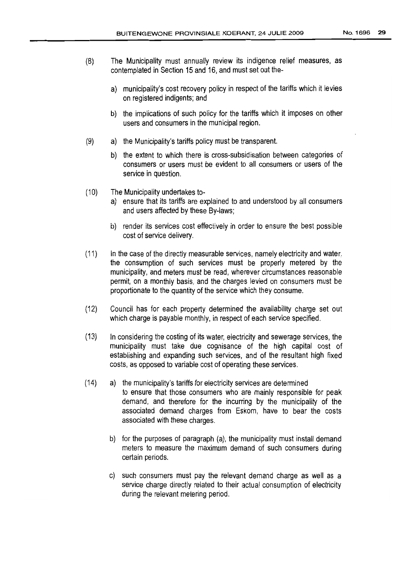- (8) The Municipality must annually review its indigence relief measures, as contemplated in Section 15 and 16, and must set out the
	- a) municipality's cost recovery policy in respect of the tariffs which it levies on registered indigents; and
	- b) the implications of such policy for the tariffs which it imposes on other users and consumers in the municipal region.
- (9) a) the Municipality's tariffs policy must be transparent.
	- b) the extent to which there is cross-subsidisation between categories of consumers or users must be evident to all consumers or users of the service in question.
- (10) The Municipality undertakes to
	- a) ensure that its tariffs are explained to and understood by all consumers and users affected by these By-laws;
	- b) render its services cost effectively in order to ensure the best possible cost of service delivery,
- (11) In the case of the directly measurable services, namely electricity and water, the consumption of such services must be properly metered by the municipality, and meters must be read, wherever circumstances reasonable permit, on a monthly basis, and the charges levied on consumers must be proportionate to the quantity of the service which they consume.
- (12) Council has for each property determined the availability charge set out which charge is payable monthly, in respect of each service specified.
- (13) In considering the costing of its water, electricity and sewerage services, the municipality must take due cognisance of the high capital cost of establishing and expanding such services, and of the resultant high fixed costs, as opposed to variable cost of operating these services.
- (14) a) the municipality's tariffs forelectricity services are determined to ensure that those consumers who are mainly responsible for peak demand, and therefore for the incurring by the municipality of the associated demand charges from Eskom, have to bear the costs associated with these charges.
	- b) for the purposes of paragraph (a), the municipality must install demand meters to measure the maximum demand of such consumers during certain periods.
	- c) such consumers must pay the relevant demand charge as well as a service charge directly related to their actual consumption of electricity during the relevant metering period.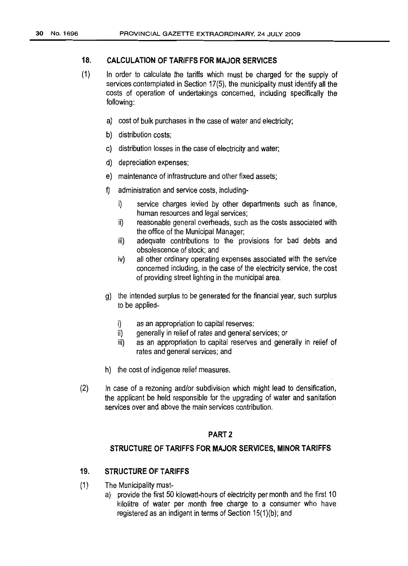#### **18. CALCULATION OF TARIFFS FOR MAJOR SERVICES**

- $(1)$ In order to calculate the tariffs which must be charged for the supply of services contemplated in Section 17(5), the municipality must identify all the costs of operation of undertakings concerned, including specifically the following:
	- a) cost of bulk purchases in the case of water and electricity;
	- b) distribution costs;
	- c) distribution losses in the case of electricity and water;
	- d) depreciation expenses;
	- e) maintenance of infrastructure and other fixed assets;
	- f) administration and service costs, including
		- i) service charges levied by other departments such as finance, human resources and legal services;
		- ii) reasonable general overheads, such as the costs associated with the office of the Municipal Manager;
		- iii) adequate contributions to the provisions for bad debts and obsolescence of stock; and
		- iv) all other ordinary operating expenses associated with the service concerned including, in the case of the electricity service, the cost of providing street lighting inthe municipal area.
	- g) the intended surplus to be generated for the financial year, such surplus to be applied
		- i) as an appropriation to capital reserves;
		- ii) generally in relief of rates and general services; or
		- iii) as an appropriation to capital reserves and generally in relief of rates and general services; and
	- h) the cost of indigence relief measures.
- (2) In case of a rezoning and/or subdivision which might lead to densification, the applicant be held responsible for the upgrading of water and sanitation services over and above the main services contribution.

#### PART 2

#### **STRUCTURE OF TARIFFS FOR MAJOR SERVICES, MINOR TARIFFS**

#### **19. STRUCTURE OF TARIFFS**

- (1) The Municipality must
	- a) provide the first 50 kilowatt-hours of electricity per month and the first 10 kilolitre of water per month free charge to a consumer who have registered as an indigent in terms of Section  $15(1)$ (b); and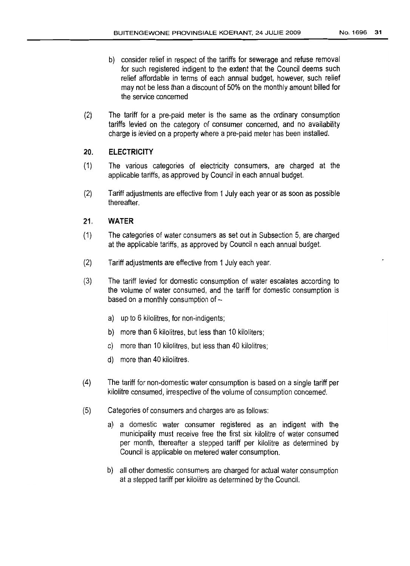- b) consider relief in respect of the tariffs for sewerage and refuse removal for such registered indigent to the extent that the Council deems such relief affordable in terms of each annual budget, however, such relief may not be less than a discount of 50% on the monthly amount billed for the service concerned
- (2) The tariff for a pre-paid meter is the same as the ordinary consumption tariffs levied on the category of consumer concerned, and no availability charge is levied on a property where a pre-paid meter has been installed.

#### **20. ELECTRICITY**

- (1) The various categories of electricity consumers, are charged at the applicable tariffs, as approved by Council in each annual budget.
- (2) Tariff adjustments are effective from 1July each year or as soon as possible thereafter.

#### 2'1. **WATER**

- (1) The categories of water consumers as setout in Subsection 5, are charged at the applicable tariffs, as approved by Council n each annual budget.
- (2) Tariff adjustments are effective from 1July each year,
- (3) The tariff levied for domestic consumption of water escalates according to the volume of water consumed, and the tariff for domestic consumption is based on a monthly consumption of  $$ 
	- a) up to 6 kilolitres, for non-indigents;
	- b) more than 6 kilolitres, but less than 10 kiloliters;
	- c) more than 10 kilolitres, but less than 40 kilolitres;
	- d) more than 40 kilolitres.
- (4) The tariff for non-domestic water consumption is based on a single tariff per kilolitre consumed, irrespective of the volume of consumption concerned.
- (5) Categories of consumers and charges are as follows:
	- a) a domestic water consumer registered as an indigent with the municipality must receive free the first six kilolitre of water consumed per month, thereafter a stepped tariff per kilolitre as determined by Council is applicable on metered water consumption.
	- b) all other domestic consumers are charged for actual water consumption at a stepped tariff per kilolitre as determined by the Council.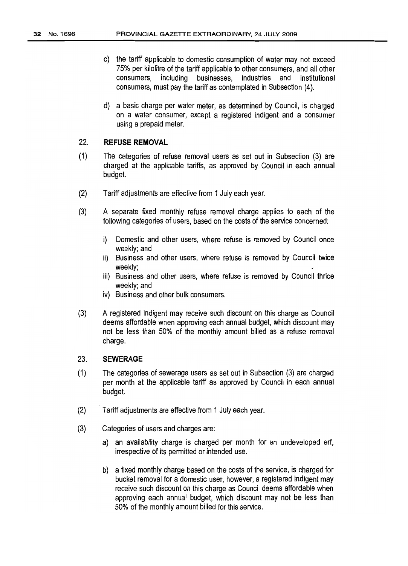- c) the tariff applicable to domestic consumption of water may not exceed 75% per kilolitre of the tariff applicable to other consumers, and all other consumers, including businesses, industries and institutional consumers, must pay the tariff as contemplated in Subsection (4).
- d) a basic charge per water meter, as determined by Council, is charged on a water consumer, except a registered indigent and a consumer using a prepaid meter.

#### 22. **REFUSE REMOVAL**

- (1) The categories of refuse removal users as set out in Subsection (3) are charged at the applicable tariffs, as approved by Council in each annual budget.
- (2) Tariff adjustments are effective from 1 July each year.
- (3) A separate fixed monthly refuse removal charge applies to each of the following categories of users, based on the costs of the service concerned:
	- i) Domestic and other users, where refuse is removed by Council once weekly; and
	- ii) Business and other users, where refuse is removed by Council twice weekly;
	- iii) Business and other users, where refuse is removed by Council thrice weekly; and
	- iv) Business and other bulk consumers.
- (3) A registered indigent may receive such discount on this charge as Council deems affordable when approving each annual budget, which discount may not be less than 50% of the monthly amount billed as a refuse removal charge.

#### 23. **SEWERAGE**

- (1) The categories of sewerage users as set out in Subsection (3) are charged per month at the applicable tariff as approved by Council in each annual budget.
- (2) Tariff adjustments are effective from 1 July each year.
- (3) Categories of users and charges are:
	- a) an availability charge is charged per month for an undeveloped erf, irrespective of its permitted or intended use.
	- b) a fixed monthly charge based on the costs of the service, is charged for bucket removal for a domestic user, however, a registered indigent may receive such discount on this charge as Council deems affordable when approving each annual budget, which discount may not be less than 50% of the monthly amount billed for this service.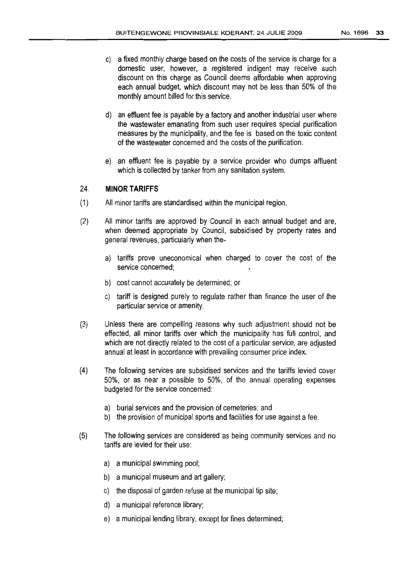- c) a fixed monthly charge based on the costs of the service is charge for a domestic user, however, a registered indigent may receive such discount on this charge as Council deems affordable when approving each annual budget, which discount may not be less than 50% of the monthly amount billed for this service.
- d) an effluent fee is payable by a factory and another industrial user where the wastewater emanating from such user requires special purification measures by the municipality, and the fee is based on the toxic content of the wastewater concerned and the costs of the purification.
- e) an effluent fee is payable by a service provider who dumps affluent which is collected by tanker from any sanitation system.

#### 24. **MINOR TARIFFS**

- (1) All minor tariffs are standardised within the municipal region.
- (2) All minor tariffs are approved by Council in each annual budget and are, when deemed appropriate by Council, subsidised by property rates and general revenues, particularly when the
	- a) tariffs prove uneconomical when charged to cover the cost of the service concerned;
	- b) cost cannot accurately be determined; or
	- c) tariff is designed purely to regulate rather than finance the user of the particular service or amenity.
- (3) Unless there are compelling reasons why such adjustment should not be effected, all minor tariffs over which the municipality has full control, and which are not directly related to the cost of a particular service, are adjusted annual at least in accordance with prevailing consumer price index.
- (4) The following services are subsidised services and the tariffs levied cover 50%, or as near a possible to 50%, of the annual operating expenses budgeted for the service concerned:
	- a) burial services and the provision of cemeteries; and
	- b) the provision of municipal sports and facilities for use against a fee.
- (5) The followinq services are considered as being community services and no tariffs are levied for their use:
	- a) a municipal swimming pool;
	- b) a municipal museum and art gallery;
	- c) the disposal of garden refuse at the municipal tip site;
	- d) a municipal reference library;
	- e) a municipal lending library, except for fines determined;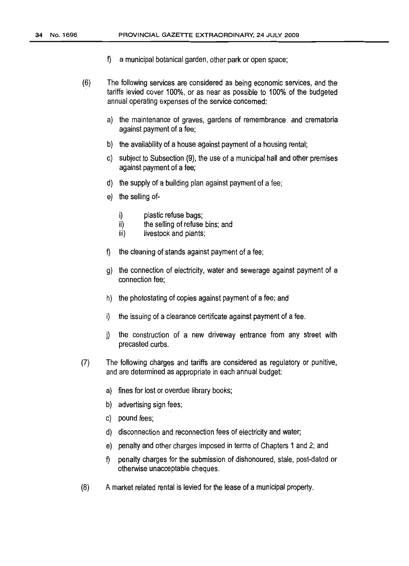- f) a municipal botanical garden, other park or open space;
- (6) The following services are considered as being economic services, and the tariffs levied cover 100%, or as near as possible to 100% of the budgeted annual operating expenses of the service concerned:
	- a) the maintenance of graves, gardens of remembrance and crematoria against payment of a fee;
	- b) the availability of a house against payment of a housing rental;
	- c) subject to Subsection (9), the use of a municipal hall and other premises against payment of a fee;
	- d) the supply of a building plan against payment of a fee;
	- e) the selling of
		- i) plastic refuse bags;
		- ii) the selling of refuse bins; and
		- iii) livestock and plants;
	- f) the cleaning of stands against payment of a fee;
	- g) the connection of electricity, water and sewerage against payment of a connection fee;
	- h) the photostating of copies against payment of a fee; and
	- $i)$  the issuing of a clearance certificate against payment of a fee.
	- j) the construction of a new driveway entrance from any street with precasted curbs.
- (7) The following charges and tariffs are considered as regulatory or punitive, and are determined as appropriate in each annual budget:
	- a) fines for lost or overdue library books;
	- b) advertising sign fees;
	- c) pound fees;
	- d) disconnection and reconnection fees of electricity and water;
	- e) penalty and other charges imposed in terms of Chapters 1 and 2; and
	- f) penalty charges for the submission of dishonoured, stale, post-dated or otherwise unacceptable cheques.
- (8) A market related rental is levied for the lease of a municipal property.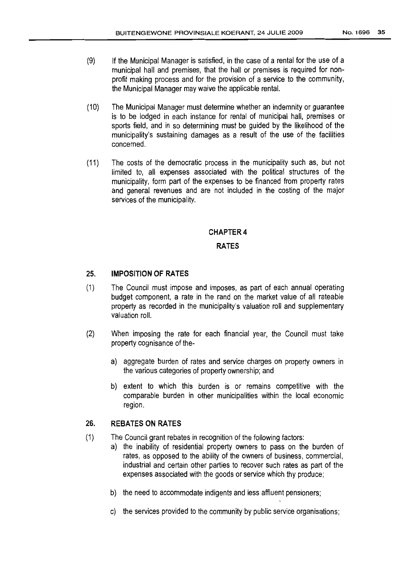- (9) If the Municipal Manager is satisfied, in the case of a rental for the use of a municipal hall and premises, that the hall or premises is required for nonprofit making process and for the provision of a service to the community, the Municipal Manager may waive the applicable rental.
- (10) The Municipal Manager must determine whether an indemnity or guarantee is to be lodged in each instance for rental of municipal hall, premises or sports field, and in so determining must be guided by the likelihood of the municipality's sustaining damages as a result of the use of the facilities concerned.
- (11) The costs of the democratic process in the municipality such as, but not limited to, all expenses associated with the political structures of the municipality, form part of the expenses to be financed from property rates and general revenues and are not included in the costing of the major services of the municipality.

#### CHAPTER 4

#### **RATES**

#### 25. **IMPOSITION OF RATES**

- (1) The Council must impose and imposes, as part of each annual operating budget component, a rate in the rand on the market value of all rateable property as recorded in the municipality's valuation roll and supplementary valuation roll.
- (2) When imposing the rate for each financial year, the Council must take property cognisance of the
	- a) aggregate burden of rates and service charges on property owners in the various categories of property ownership; and
	- b) extent to which this burden is or remains competitive with the comparable burden in other municipalities within the local economic region.

#### 26. **REBATES ON RATES**

- (1) The Council grant rebates in recognition of the following factors:
	- a) the inability of residential property owners to pass on the burden of rates, as opposed to the ability of the owners of business, commercial, industrial and certain other parties to recover such rates as part of the expenses associated with the goods or service which thy produce;
	- b) the need to accommodate indigents and less affluent pensioners;
	- c) the services provided to the community by public service organisations;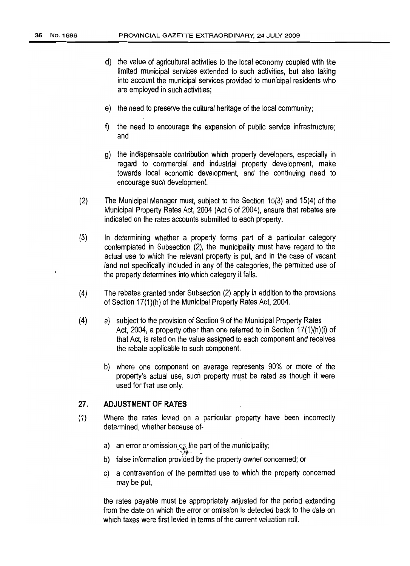- d) the value of agricultural activities to the local economy coupled with the limited municipal services extended to such activities, but also taking into account the municipal services provided to municipal residents who are employed in such activities;
- e) the need to preserve the cultural heritage of the local community;
- fj the need to encourage the expansion of public service infrastructure; and
- g) the indispensable contribution which property developers, especially in regard to commercial and industrial property development, make towards local economic development, and the continuing need to encourage such development.
- (2) The Municipal Manager must, subject to the Section 15(3) and 15(4) of the Municipal Property Rates Act, 2004 (Act 6 of 2004), ensure that rebates are indicated on the rates accounts submitted to each property.
- (3) In determining whether a property forms part of a particular category contemplated in Subsection (2), the municipality must have regard to the actual use to which the relevant property is put, and in the case of vacant land not specifically included in any of the categories, the permitted use of the property determines into which category it falls.
- (4) The rebates granted under Subsection (2) apply in addition to the provisions of Section 17(1)(h) of the Municipal Property Rates Act, 2004.
- (4) a) subject to the provision of Section 9 of the Municipal Property Rates Act, 2004, a property other than one referred to in Section 17(1 )(h)(i) of that Act, is rated on the value assigned to each component and receives the rebate applicable to such component.
	- b) where one component on average represents 90% or more of the property's actual use, such property must be rated as though it were used for that use only.

#### 27. **ADJUSTMENT OF RATES**

- (1) Where the rates levied on a particular property have been incorrectly determined, whether because of
	- a) an error or omission  $\mathfrak{c}_\mathbb{C}^*$  the part of the municipality;
	- b) false information provided by the property owner concerned; or
	- c) a contravention of the permitted use to which the property concerned may be put,

the rates payable must be appropriately adjusted for the period extending from the date on which the error or omission is detected back to the date on which taxes were first levied in terms of the current valuation roll.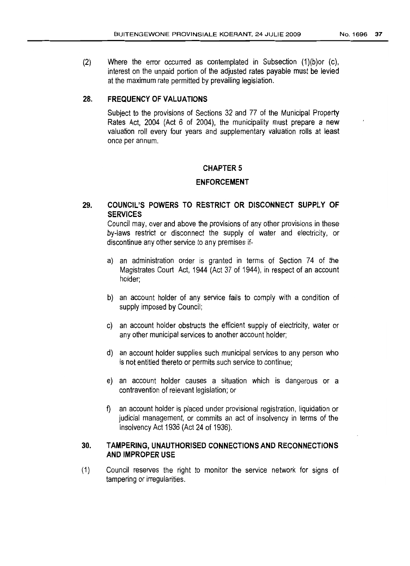(2) Where the error occurred as contemplated in Subsection (1)(b)or (c), interest on the unpaid portion of the adjusted rates payable must be levied at the maximum rate permitted by prevailing legislation.

#### 28. FREQUENCY OF VALUATIONS

Subject to the provisions of Sections 32 and 77 of the Municipal Property Rates Act, 2004 (Act 6 of 2004), the municipality must prepare a new valuation roll every four years and supplementary valuation rolls at least once per annum.

#### **CHAPTER 5**

#### ENFORCEMENT

### 29. COUNCIL'S POWERS TO RESTRICT OR DISCONNECT SUPPLY OF SERVICES

Council may, over and above the provisions of any other provisions in these by-laws restrict or disconnect the supply of water and electricity, or discontinue any other service to any premises if-

- a) an administration order is granted in terms of Section 74 of the Magistrates Court Act, 1944 (Act 37 of 1944), in respect of an account holder;
- b) an account holder of any service fails to comply with a condition of supply imposed by Council;
- c) an account holder obstructs the efficient supply of electricity, water or any other municipal services to another account holder;
- d) an account holder supplies such municipal services to any person who is not entitled thereto or permits such service to continue;
- e) an account holder causes a situation which is dangerous or a contravention of relevant legislation; or
- f) an account holder is placed under provisional registration, liquidation or judicial management, or commits an act of insolvency in terms of the Insolvency Act 1936 (Act 24 of 1936).

#### 30. TAMPERING, UNAUTHORISED CONNECTIONS AND RECONNECTIONS AND IMPROPER USE

(1) Council reserves the right to monitor the service network for signs of tampering or irregularities.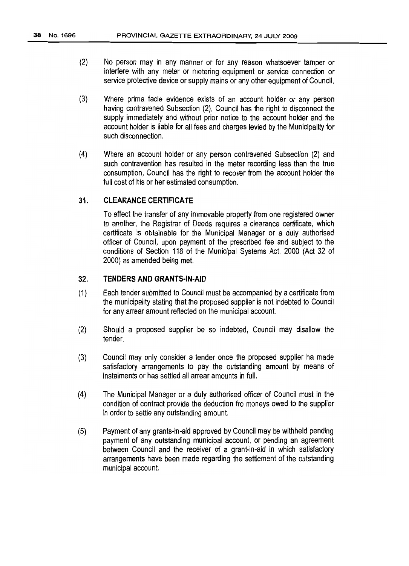- (2) No person may in any manner or for any reason whatsoever tamper or interfere with any meter or metering equipment or service connection or service protective device or supply mains or any other equipment of Council.
- (3) Where prima facie evidence exists of an account holder or any person having contravened Subsection (2), Council has the right to disconnect the supply immediately and without prior notice to the account holder and the account holder is liable for all fees and charges levied by the Municipality for such disconnection.
- (4) Where an account holder or any person contravened Subsection (2) and such contravention has resulted in the meter recording less than the true consumption, Council has the right to recover from the account holder the full cost of his or her estimated consumption.

#### 31. **CLEARANCE CERTIFICATE**

To effect the transfer of any immovable property from one registered owner to another, the Registrar of Deeds requires a clearance certificate, which certificate is obtainable for the Municipal Manager or a duly authorised officer of Council, upon payment of the prescribed fee and subject to the conditions of Section 118 of the Municipal Systems Act, 2000 (Act 32 of 2000) as amended being met.

#### 32. **TENDERS AND GRANTS·IN·AID**

- (1) Each tender submitted to Council must be accompanied by a certificate from the municipality stating that the proposed supplier is notindebted to Council for any arrear amount reflected on the municipal account.
- (2) Should a proposed supplier be so indebted, Council may disallow the tender.
- (3) Council may only consider a tender once the proposed supplier ha made satisfactory arrangements to pay the outstanding amount by means of instalments or has settled all arrear amounts in full.
- (4) The Municipal Manager or a duly authorised officer of Council must in the condition of contract provide the deduction fro moneys owed to the supplier in order to settle any outstanding amount.
- (5) Payment of any grants-in-aid approved by Council may be withheld pending payment of any outstanding municipal account, or pending an agreement between Council and the receiver of a grant-in-aid in which satisfactory arrangements have been made regarding the settlement of the outstanding municipal account.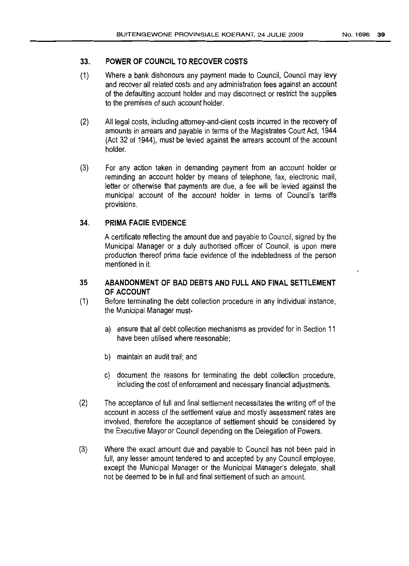## 33. **POWER OF COUNCIL TO RECOVER COSTS**

- (1) Where a bank dishonours any payment made to Council, Council may levy and recover all related costs and any administration fees against an account of the defaulting account holder and may disconnect or restrict the supplies to the premises of such account holder.
- (2) All legal costs, including attorney-and-client costs incurred inthe recovery of amounts in arrears and payable in terms of the Magistrates Court Act, 1944 (Act 32 of 1944), must be levied against the arrears account of the account holder.
- (3) For any action taken in demanding payment from an account holder or reminding an account holder by means of telephone, fax, electronic mail, letter or otherwise that payments are due, a fee will be levied against the municipal account of the account holder in terms of Council's tariffs provisions.

### 34" **PRIMA FACIE EVIDENCE**

A certificate reflecting the amount due and payable to Council, signed bythe Municipal Manager or a duly authorised officer of Council, is upon mere production thereof prima facie evidence of the indebtedness of the person mentioned in it.

#### **35 ABANDONMENT OF BAD DEBTS AND FUL.L AND FINAL SETTLEMENT OF ACCOUNT**

- (1) Before terminating the debt collection procedure ;n any individual instance, the Municipal Manager must
	- a) ensure that all debt collection mechanisms as provided forin Section 11 have been utilised where reasonable;
	- b) maintain an audit trail; and
	- c) document the reasons for terminating the debt collection procedure, including the cost of enforcement and necessary financial adjustments.
- (2) The acceptance of full and final settlement necessitates the writing off of the account in access of the settlement value and mostly assessment rates are involved, therefore the acceptance of settlement should be considered by the Executive Mayor or Council depending on the Delegation of Powers.
- (3) Where the exact amount due and payable to Council has not been paid in full, any lesser amount tendered to and accepted by any Council employee, except the Municipal Manager or the Municipal Manager's delegate, shall not be deemed to be in full and final settlement of such an amount.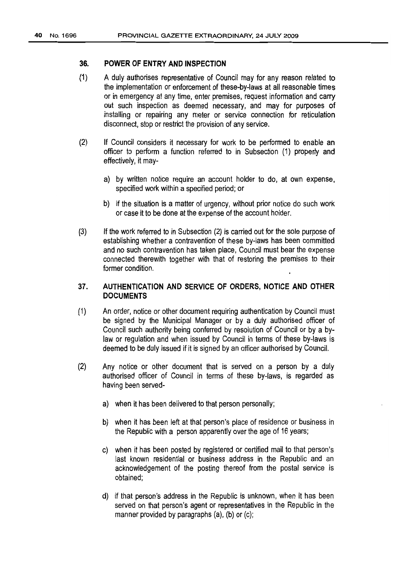#### 36. POWER OF ENTRY AND INSPECTION

- $(1)$ A duly authorises representative of Council may for any reason related to the implementation or enforcement of these-by-Iaws at all reasonable times or in emergency at any time, enter premises, request information and carry out such inspection as deemed necessary, and may for purposes of installing or repairing any meter or service connection for reticulation disconnect, stop or restrict the provision of any service.
- (2) If Council considers it necessary for work to be performed to enable an officer to perform a function referred to in Subsection (1) properly and effectively, it may
	- a) by written notice require an account holder to do, at own expense, specified work within a specified period; or
	- b) if the situation is a matter of urgency, without prior notice do such work or case it to be done at the expense of the account holder.
- (3) If the work referred to in Subsection (2) is carried out for the sole purpose of establishing whether a contravention of these by-laws has been committed and no such contravention has taken place, Council must bear the expense connected therewith together with that of restoring the premises to their former condition.

### 37. AUTHENTICATION AND SERVICE OF ORDERS, NOTICE AND OTHER **DOCUMENTS**

- (1) An order, notice or other document requiring authentication byCouncil must be signed by the Municipal Manager or by a duly authorised officer of Council such authority being conferred by resolution of Council or by a bylaw or regulation and when issued by Council in terms of these by-laws is deemed to be duly issued if it is signed by an officer authorised by Council.
- (2) Any notice or other document that is served on a person by a duly authorised officer of Council in terms of these by-laws, is regarded as having been served
	- a) when it has been delivered to that person personally;
	- b) when it has been left at that person's place of residence or business in the Republic with a person apparently over the age of 16 years;
	- c) when it has been posted by registered or certified mail to that person's last known residential or business address in the Republic and an acknowledgement of the posting thereof from the postal service is obtained;
	- d) if that person's address in the Republic is unknown, when it has been served on that person's agent or representatives in the Republic in the manner provided by paragraphs  $(a)$ ,  $(b)$  or  $(c)$ ;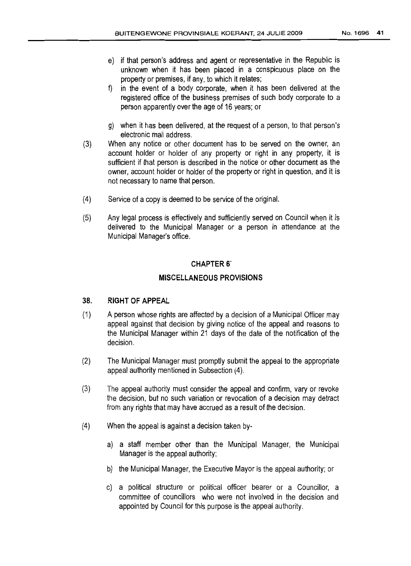- e) if that person's address and agent or representative in the Republic is unknown when it has been placed in a conspicuous place on the property or premises, if any, to which it relates;
- f) in the event of a body corporate, when it has been delivered at the registered office of the business premises of such body corporate to a person apparently over the age of 16years; or
- g) when it has been delivered, at the request of a person, to that person's electronic mail address.
- (3) When any notice or other document has to be served on the owner, an account holder or holder of any property or right in any property, it is sufficient if that person is described in the notice or other document as the owner, account holder or holder of the property or right in question, and it is not necessary to name that person.
- (4) Service of a copy is deemed to be service of the original.
- (5) Any legal process is effectively and sufficiently served on Council when it is delivered to the Municipal Manager or a person in attendance at the Municipal Manager's office.

#### CHAPTER 6'

#### MISCELLANEOUS PROVISIONS

#### 38. RIGHT OF APPEAL

- (1) A person whose rights are affected by a decision of a Municipal Officer may appeal against that decision by giving notice of the appeal and reasons to the Municipal Manager within 21 days of the date of the notification of the decision.
- (2) The Municipal Manager must promptly submit the appeal to the appropriate appeal authority mentioned in Subsection (4)..
- (3) The appeal authority must consider the appeal and confirm, vary or revoke the decision, but no such variation or revocation of a decision may detract from any rights that may have accrued as a result of the decision.
- (4) When the appeal is against a decision taken by
	- a) a staff member other than the Municipal Manager, the Municipal Manager is the appeal authority;
	- b) the Municipal Manager, the Executive Mayor is the appeal authority; or
	- c) a political structure or political officer bearer or a Councillor, a committee of councillors who were not involved in the decision and appointed by Council for this purpose is the appeal authority.